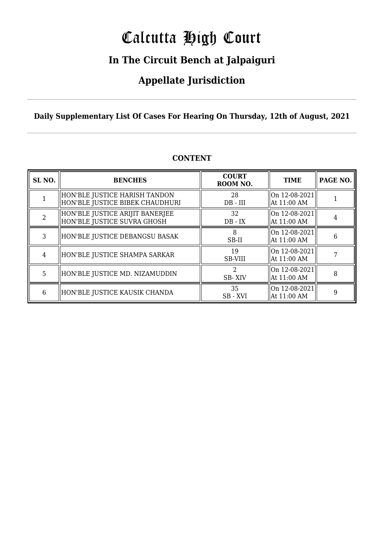# Calcutta High Court

### **In The Circuit Bench at Jalpaiguri**

### **Appellate Jurisdiction**

**Daily Supplementary List Of Cases For Hearing On Thursday, 12th of August, 2021**

| SL <sub>NO.</sub> | <b>BENCHES</b>                                                   | <b>COURT</b><br>ROOM NO. | <b>TIME</b>                    | PAGE NO. |
|-------------------|------------------------------------------------------------------|--------------------------|--------------------------------|----------|
|                   | HON'BLE JUSTICE HARISH TANDON<br>HON'BLE JUSTICE BIBEK CHAUDHURI | 28<br>$DB$ - $III$       | On 12-08-2021<br>At 11:00 AM   |          |
| $\mathcal{D}$     | HON'BLE JUSTICE ARIJIT BANERJEE<br>HON'BLE JUSTICE SUVRA GHOSH   | 32<br>$DB - IX$          | On 12-08-2021<br>  At 11:00 AM | 4        |
| 3                 | HON'BLE JUSTICE DEBANGSU BASAK                                   | SB-II                    | On 12-08-2021<br>  At 11:00 AM | 6        |
| 4                 | HON'BLE JUSTICE SHAMPA SARKAR                                    | 19<br><b>SB-VIII</b>     | On 12-08-2021<br>  At 11:00 AM |          |
| 5                 | HON'BLE JUSTICE MD. NIZAMUDDIN                                   | SB-XIV                   | On 12-08-2021<br>  At 11:00 AM | 8        |
| 6                 | HON'BLE JUSTICE KAUSIK CHANDA                                    | 35<br>SB-XVI             | On 12-08-2021<br>At 11:00 AM   | 9        |

### **CONTENT**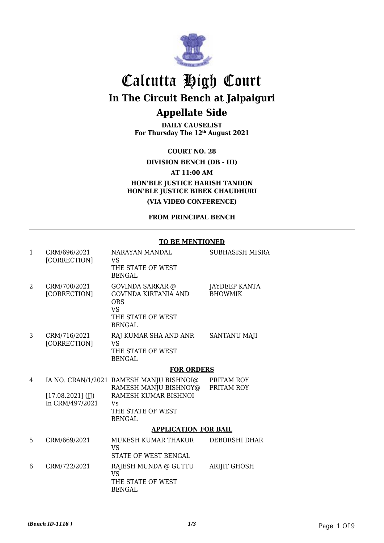

**DAILY CAUSELIST For Thursday The 12th August 2021**

**COURT NO. 28**

**DIVISION BENCH (DB - III)**

**AT 11:00 AM**

**HON'BLE JUSTICE HARISH TANDON HON'BLE JUSTICE BIBEK CHAUDHURI (VIA VIDEO CONFERENCE)**

**FROM PRINCIPAL BENCH**

#### **TO BE MENTIONED**

| 1 | CRM/696/2021<br>[CORRECTION]           | NARAYAN MANDAL<br><b>VS</b><br>THE STATE OF WEST<br><b>BENGAL</b>                                                                                       | SUBHASISH MISRA                        |
|---|----------------------------------------|---------------------------------------------------------------------------------------------------------------------------------------------------------|----------------------------------------|
| 2 | CRM/700/2021<br>[CORRECTION]           | <b>GOVINDA SARKAR</b> @<br><b>GOVINDA KIRTANIA AND</b><br><b>ORS</b><br><b>VS</b><br>THE STATE OF WEST<br><b>BENGAL</b>                                 | <b>JAYDEEP KANTA</b><br><b>BHOWMIK</b> |
| 3 | CRM/716/2021<br>[CORRECTION]           | RAJ KUMAR SHA AND ANR<br><b>VS</b><br>THE STATE OF WEST<br><b>BENGAL</b>                                                                                | <b>SANTANU MAJI</b>                    |
|   |                                        | <b>FOR ORDERS</b>                                                                                                                                       |                                        |
| 4 | $[17.08.2021]$ (JJ)<br>In CRM/497/2021 | IA NO. CRAN/1/2021 RAMESH MANJU BISHNOI@<br>RAMESH MANJU BISHNOY@<br>RAMESH KUMAR BISHNOI<br><b>V<sub>S</sub></b><br>THE STATE OF WEST<br><b>BENGAL</b> | PRITAM ROY<br>PRITAM ROY               |
|   |                                        | <b>APPLICATION FOR BAIL</b>                                                                                                                             |                                        |
| 5 | CRM/669/2021                           | MUKESH KUMAR THAKUR<br>VS <sub>1</sub><br><b>STATE OF WEST BENGAL</b>                                                                                   | <b>DEBORSHI DHAR</b>                   |
| 6 | CRM/722/2021                           | RAJESH MUNDA @ GUTTU<br><b>VS</b><br>THE STATE OF WEST<br><b>BENGAL</b>                                                                                 | <b>ARIJIT GHOSH</b>                    |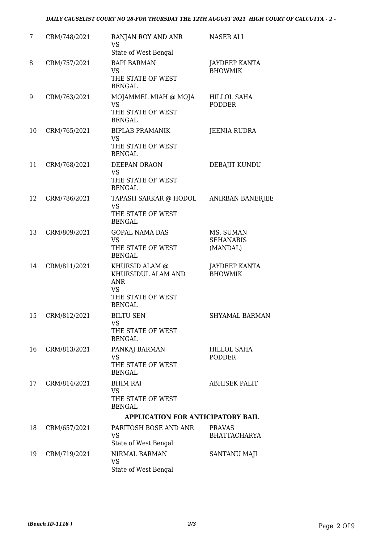| 7  | CRM/748/2021 | RANJAN ROY AND ANR<br><b>VS</b>                                                                       | <b>NASER ALI</b>                          |
|----|--------------|-------------------------------------------------------------------------------------------------------|-------------------------------------------|
|    |              | State of West Bengal                                                                                  |                                           |
| 8  | CRM/757/2021 | <b>BAPI BARMAN</b><br><b>VS</b><br>THE STATE OF WEST<br><b>BENGAL</b>                                 | <b>JAYDEEP KANTA</b><br><b>BHOWMIK</b>    |
| 9  | CRM/763/2021 | MOJAMMEL MIAH @ MOJA<br><b>VS</b><br>THE STATE OF WEST<br><b>BENGAL</b>                               | HILLOL SAHA<br><b>PODDER</b>              |
| 10 | CRM/765/2021 | <b>BIPLAB PRAMANIK</b><br><b>VS</b><br>THE STATE OF WEST<br><b>BENGAL</b>                             | <b>JEENIA RUDRA</b>                       |
| 11 | CRM/768/2021 | DEEPAN ORAON<br><b>VS</b><br>THE STATE OF WEST<br><b>BENGAL</b>                                       | DEBAJIT KUNDU                             |
| 12 | CRM/786/2021 | TAPASH SARKAR @ HODOL<br><b>VS</b><br>THE STATE OF WEST<br><b>BENGAL</b>                              | <b>ANIRBAN BANERJEE</b>                   |
| 13 | CRM/809/2021 | <b>GOPAL NAMA DAS</b><br><b>VS</b><br>THE STATE OF WEST<br><b>BENGAL</b>                              | MS. SUMAN<br><b>SEHANABIS</b><br>(MANDAL) |
| 14 | CRM/811/2021 | KHURSID ALAM @<br>KHURSIDUL ALAM AND<br><b>ANR</b><br><b>VS</b><br>THE STATE OF WEST<br><b>BENGAL</b> | <b>JAYDEEP KANTA</b><br><b>BHOWMIK</b>    |
| 15 | CRM/812/2021 | <b>BILTU SEN</b><br><b>VS</b><br>THE STATE OF WEST<br><b>BENGAL</b>                                   | <b>SHYAMAL BARMAN</b>                     |
| 16 | CRM/813/2021 | PANKAJ BARMAN<br><b>VS</b><br>THE STATE OF WEST<br><b>BENGAL</b>                                      | <b>HILLOL SAHA</b><br><b>PODDER</b>       |
| 17 | CRM/814/2021 | <b>BHIM RAI</b><br><b>VS</b><br>THE STATE OF WEST<br><b>BENGAL</b>                                    | <b>ABHISEK PALIT</b>                      |
|    |              | <b>APPLICATION FOR ANTICIPATORY BAIL</b>                                                              |                                           |
| 18 | CRM/657/2021 | PARITOSH BOSE AND ANR<br><b>VS</b><br>State of West Bengal                                            | <b>PRAVAS</b><br><b>BHATTACHARYA</b>      |
| 19 | CRM/719/2021 | NIRMAL BARMAN<br><b>VS</b><br>State of West Bengal                                                    | SANTANU MAJI                              |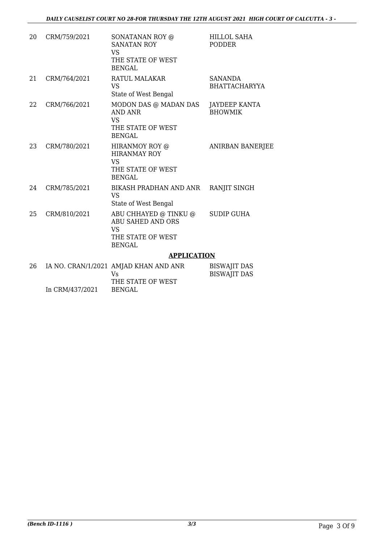| 20 | CRM/759/2021    | SONATANAN ROY @<br><b>SANATAN ROY</b><br><b>VS</b><br>THE STATE OF WEST<br><b>BENGAL</b>             | <b>HILLOL SAHA</b><br><b>PODDER</b>        |
|----|-----------------|------------------------------------------------------------------------------------------------------|--------------------------------------------|
| 21 | CRM/764/2021    | RATUL MALAKAR<br><b>VS</b><br>State of West Bengal                                                   | <b>SANANDA</b><br><b>BHATTACHARYYA</b>     |
| 22 | CRM/766/2021    | MODON DAS @ MADAN DAS<br><b>AND ANR</b><br><b>VS</b><br>THE STATE OF WEST<br><b>BENGAL</b>           | JAYDEEP KANTA<br><b>BHOWMIK</b>            |
| 23 | CRM/780/2021    | HIRANMOY ROY @<br><b>HIRANMAY ROY</b><br><b>VS</b><br>THE STATE OF WEST<br><b>BENGAL</b>             | <b>ANIRBAN BANERJEE</b>                    |
| 24 | CRM/785/2021    | BIKASH PRADHAN AND ANR<br><b>VS</b><br>State of West Bengal                                          | RANJIT SINGH                               |
| 25 | CRM/810/2021    | ABU CHHAYED @ TINKU @<br><b>ABU SAHED AND ORS</b><br><b>VS</b><br>THE STATE OF WEST<br><b>BENGAL</b> | <b>SUDIP GUHA</b>                          |
|    |                 | <b>APPLICATION</b>                                                                                   |                                            |
| 26 |                 | IA NO. CRAN/1/2021 AMJAD KHAN AND ANR<br><b>Vs</b><br>THE STATE OF WEST                              | <b>BISWAJIT DAS</b><br><b>BISWAJIT DAS</b> |
|    | In CRM/437/2021 | <b>BENGAL</b>                                                                                        |                                            |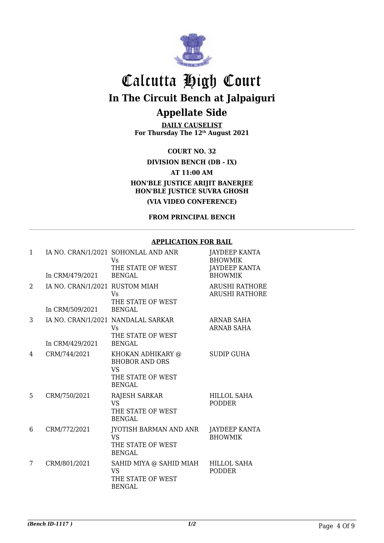

**DAILY CAUSELIST For Thursday The 12th August 2021**

**COURT NO. 32**

**DIVISION BENCH (DB - IX)**

**AT 11:00 AM**

**HON'BLE JUSTICE ARIJIT BANERJEE HON'BLE JUSTICE SUVRA GHOSH**

**(VIA VIDEO CONFERENCE)**

**FROM PRINCIPAL BENCH**

#### **APPLICATION FOR BAIL**

| 1              | In CRM/479/2021                                   | IA NO. CRAN/1/2021 SOHONLAL AND ANR<br><b>Vs</b><br>THE STATE OF WEST<br><b>BENGAL</b>        | <b>JAYDEEP KANTA</b><br><b>BHOWMIK</b><br><b>JAYDEEP KANTA</b><br><b>BHOWMIK</b> |
|----------------|---------------------------------------------------|-----------------------------------------------------------------------------------------------|----------------------------------------------------------------------------------|
| $\overline{2}$ | IA NO. CRAN/1/2021 RUSTOM MIAH<br>In CRM/509/2021 | Vs<br>THE STATE OF WEST<br><b>BENGAL</b>                                                      | <b>ARUSHI RATHORE</b><br><b>ARUSHI RATHORE</b>                                   |
| 3              | In CRM/429/2021                                   | IA NO. CRAN/1/2021 NANDALAL SARKAR<br>Vs.<br>THE STATE OF WEST<br><b>BENGAL</b>               | <b>ARNAB SAHA</b><br><b>ARNAB SAHA</b>                                           |
| 4              | CRM/744/2021                                      | KHOKAN ADHIKARY @<br><b>BHOBOR AND ORS</b><br><b>VS</b><br>THE STATE OF WEST<br><b>BENGAL</b> | <b>SUDIP GUHA</b>                                                                |
| 5              | CRM/750/2021                                      | RAJESH SARKAR<br><b>VS</b><br>THE STATE OF WEST<br><b>BENGAL</b>                              | <b>HILLOL SAHA</b><br><b>PODDER</b>                                              |
| 6              | CRM/772/2021                                      | JYOTISH BARMAN AND ANR<br><b>VS</b><br>THE STATE OF WEST<br><b>BENGAL</b>                     | <b>JAYDEEP KANTA</b><br><b>BHOWMIK</b>                                           |
| 7              | CRM/801/2021                                      | SAHID MIYA @ SAHID MIAH<br>VS.<br>THE STATE OF WEST<br><b>BENGAL</b>                          | <b>HILLOL SAHA</b><br><b>PODDER</b>                                              |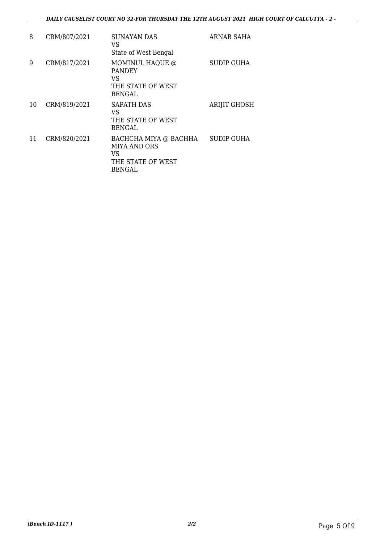| 8  | CRM/807/2021 | <b>SUNAYAN DAS</b><br>VS<br>State of West Bengal                                         | ARNAB SAHA          |
|----|--------------|------------------------------------------------------------------------------------------|---------------------|
| 9  | CRM/817/2021 | MOMINUL HAQUE @<br><b>PANDEY</b><br>VS<br>THE STATE OF WEST<br><b>BENGAL</b>             | SUDIP GUHA          |
| 10 | CRM/819/2021 | <b>SAPATH DAS</b><br>VS<br>THE STATE OF WEST<br><b>BENGAL</b>                            | <b>ARIJIT GHOSH</b> |
| 11 | CRM/820/2021 | BACHCHA MIYA @ BACHHA<br><b>MIYA AND ORS</b><br>VS<br>THE STATE OF WEST<br><b>BENGAL</b> | SUDIP GUHA          |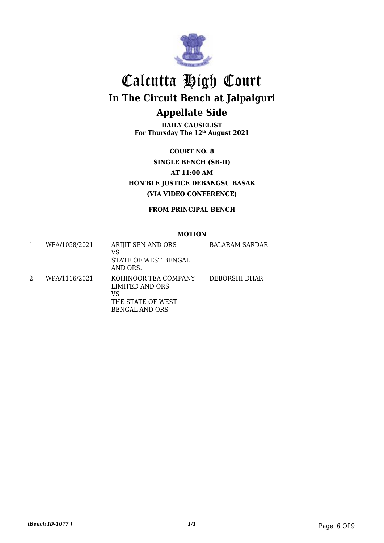

**DAILY CAUSELIST For Thursday The 12th August 2021**

**COURT NO. 8 SINGLE BENCH (SB-II) AT 11:00 AM HON'BLE JUSTICE DEBANGSU BASAK (VIA VIDEO CONFERENCE)**

**FROM PRINCIPAL BENCH**

#### **MOTION**

| WPA/1058/2021 | ARIJIT SEN AND ORS<br>VS<br>STATE OF WEST BENGAL<br>AND ORS. | <b>BALARAM SARDAR</b> |
|---------------|--------------------------------------------------------------|-----------------------|
| WPA/1116/2021 | KOHINOOR TEA COMPANY<br>LIMITED AND ORS<br>VS                | DEBORSHI DHAR         |
|               | THE STATE OF WEST                                            |                       |
|               | <b>BENGAL AND ORS</b>                                        |                       |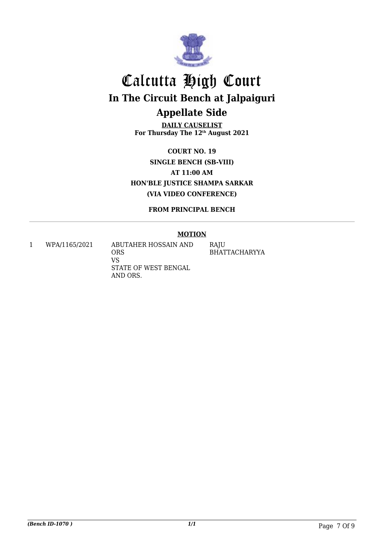

**DAILY CAUSELIST For Thursday The 12th August 2021**

**COURT NO. 19 SINGLE BENCH (SB-VIII) AT 11:00 AM HON'BLE JUSTICE SHAMPA SARKAR (VIA VIDEO CONFERENCE)**

**FROM PRINCIPAL BENCH**

#### **MOTION**

1 WPA/1165/2021 ABUTAHER HOSSAIN AND ORS VS STATE OF WEST BENGAL AND ORS. RAJU BHATTACHARYYA

*(Bench ID-1070 ) 1/1* Page 7 Of 9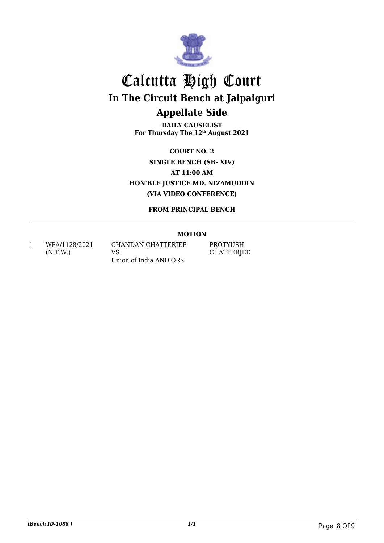

**DAILY CAUSELIST For Thursday The 12th August 2021**

**COURT NO. 2 SINGLE BENCH (SB- XIV) AT 11:00 AM HON'BLE JUSTICE MD. NIZAMUDDIN (VIA VIDEO CONFERENCE)**

**FROM PRINCIPAL BENCH**

#### **MOTION**

1 WPA/1128/2021 (N.T.W.)

CHANDAN CHATTERJEE VS Union of India AND ORS

PROTYUSH **CHATTERJEE**